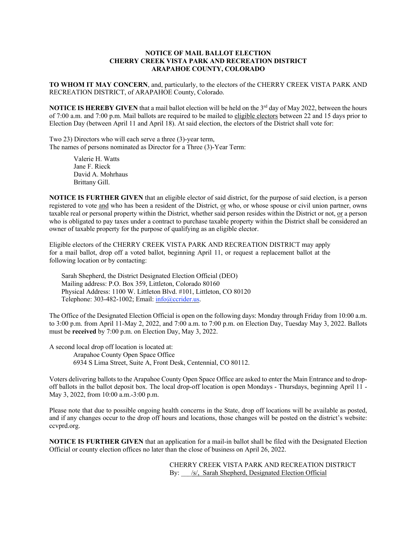## **NOTICE OF MAIL BALLOT ELECTION CHERRY CREEK VISTA PARK AND RECREATION DISTRICT ARAPAHOE COUNTY, COLORADO**

**TO WHOM IT MAY CONCERN**, and, particularly, to the electors of the CHERRY CREEK VISTA PARK AND RECREATION DISTRICT, of ARAPAHOE County, Colorado.

**NOTICE IS HEREBY GIVEN** that a mail ballot election will be held on the 3<sup>rd</sup> day of May 2022, between the hours of 7:00 a.m. and 7:00 p.m. Mail ballots are required to be mailed to eligible electors between 22 and 15 days prior to Election Day (between April 11 and April 18). At said election, the electors of the District shall vote for:

Two 23) Directors who will each serve a three (3)-year term, The names of persons nominated as Director for a Three (3)-Year Term:

> Valerie H. Watts Jane F. Rieck David A. Mohrhaus Brittany Gill.

**NOTICE IS FURTHER GIVEN** that an eligible elector of said district, for the purpose of said election, is a person registered to vote and who has been a resident of the District, or who, or whose spouse or civil union partner, owns taxable real or personal property within the District, whether said person resides within the District or not, or a person who is obligated to pay taxes under a contract to purchase taxable property within the District shall be considered an owner of taxable property for the purpose of qualifying as an eligible elector.

Eligible electors of the CHERRY CREEK VISTA PARK AND RECREATION DISTRICT may apply for a mail ballot, drop off a voted ballot, beginning April 11, or request a replacement ballot at the following location or by contacting:

Sarah Shepherd, the District Designated Election Official (DEO) Mailing address: P.O. Box 359, Littleton, Colorado 80160 Physical Address: 1100 W. Littleton Blvd. #101, Littleton, CO 80120 Telephone: 303-482-1002; Email: info@ccrider.us.

The Office of the Designated Election Official is open on the following days: Monday through Friday from 10:00 a.m. to 3:00 p.m. from April 11-May 2, 2022, and 7:00 a.m. to 7:00 p.m. on Election Day, Tuesday May 3, 2022. Ballots must be **received** by 7:00 p.m. on Election Day, May 3, 2022.

A second local drop off location is located at: Arapahoe County Open Space Office 6934 S Lima Street, Suite A, Front Desk, Centennial, CO 80112.

Voters delivering ballots to the Arapahoe County Open Space Office are asked to enter the Main Entrance and to dropoff ballots in the ballot deposit box. The local drop-off location is open Mondays - Thursdays, beginning April 11 - May 3, 2022, from 10:00 a.m.-3:00 p.m.

Please note that due to possible ongoing health concerns in the State, drop off locations will be available as posted, and if any changes occur to the drop off hours and locations, those changes will be posted on the district's website: ccvprd.org.

**NOTICE IS FURTHER GIVEN** that an application for a mail-in ballot shall be filed with the Designated Election Official or county election offices no later than the close of business on April 26, 2022.

> CHERRY CREEK VISTA PARK AND RECREATION DISTRICT By: /s/, Sarah Shepherd, Designated Election Official